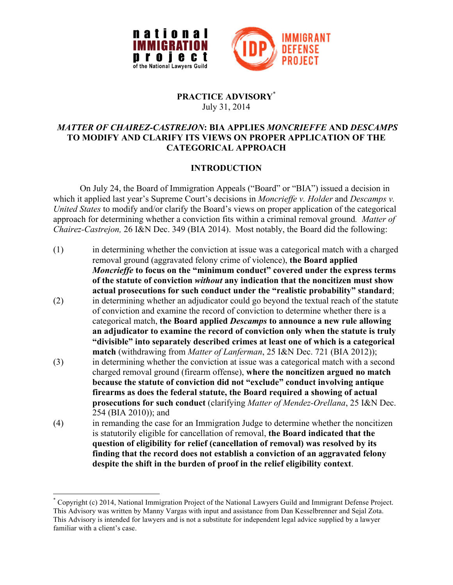



## **PRACTICE ADVISORY**\* July 31, 2014

# *MATTER OF CHAIREZ-CASTREJON***: BIA APPLIES** *MONCRIEFFE* **AND** *DESCAMPS* **TO MODIFY AND CLARIFY ITS VIEWS ON PROPER APPLICATION OF THE CATEGORICAL APPROACH**

# **INTRODUCTION**

On July 24, the Board of Immigration Appeals ("Board" or "BIA") issued a decision in which it applied last year's Supreme Court's decisions in *Moncrieffe v. Holder* and *Descamps v. United States* to modify and/or clarify the Board's views on proper application of the categorical approach for determining whether a conviction fits within a criminal removal ground*. Matter of Chairez-Castrejon,* 26 I&N Dec. 349 (BIA 2014). Most notably, the Board did the following:

- (1) in determining whether the conviction at issue was a categorical match with a charged removal ground (aggravated felony crime of violence), **the Board applied**  *Moncrieffe* **to focus on the "minimum conduct" covered under the express terms of the statute of conviction** *without* **any indication that the noncitizen must show actual prosecutions for such conduct under the "realistic probability" standard**;
- (2) in determining whether an adjudicator could go beyond the textual reach of the statute of conviction and examine the record of conviction to determine whether there is a categorical match, **the Board applied** *Descamps* **to announce a new rule allowing an adjudicator to examine the record of conviction only when the statute is truly "divisible" into separately described crimes at least one of which is a categorical match** (withdrawing from *Matter of Lanferman*, 25 I&N Dec. 721 (BIA 2012));
- (3) in determining whether the conviction at issue was a categorical match with a second charged removal ground (firearm offense), **where the noncitizen argued no match because the statute of conviction did not "exclude" conduct involving antique firearms as does the federal statute, the Board required a showing of actual prosecutions for such conduct** (clarifying *Matter of Mendez-Orellana*, 25 I&N Dec. 254 (BIA 2010)); and
- (4) in remanding the case for an Immigration Judge to determine whether the noncitizen is statutorily eligible for cancellation of removal, **the Board indicated that the question of eligibility for relief (cancellation of removal) was resolved by its finding that the record does not establish a conviction of an aggravated felony despite the shift in the burden of proof in the relief eligibility context**.

 <sup>\*</sup> Copyright (c) 2014, National Immigration Project of the National Lawyers Guild and Immigrant Defense Project. This Advisory was written by Manny Vargas with input and assistance from Dan Kesselbrenner and Sejal Zota. This Advisory is intended for lawyers and is not a substitute for independent legal advice supplied by a lawyer familiar with a client's case.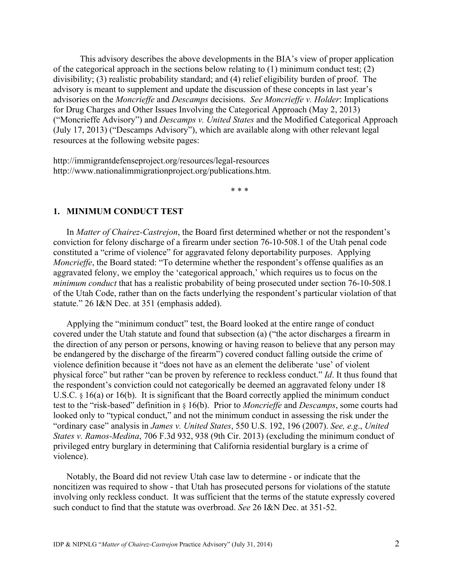This advisory describes the above developments in the BIA's view of proper application of the categorical approach in the sections below relating to (1) minimum conduct test; (2) divisibility; (3) realistic probability standard; and (4) relief eligibility burden of proof. The advisory is meant to supplement and update the discussion of these concepts in last year's advisories on the *Moncrieffe* and *Descamps* decisions. *See Moncrieffe v. Holder*: Implications for Drug Charges and Other Issues Involving the Categorical Approach (May 2, 2013) ("Moncrieffe Advisory") and *Descamps v. United States* and the Modified Categorical Approach (July 17, 2013) ("Descamps Advisory"), which are available along with other relevant legal resources at the following website pages:

http://immigrantdefenseproject.org/resources/legal-resources http://www.nationalimmigrationproject.org/publications.htm.

\* \* \*

#### **1. MINIMUM CONDUCT TEST**

In *Matter of Chairez-Castrejon*, the Board first determined whether or not the respondent's conviction for felony discharge of a firearm under section 76-10-508.1 of the Utah penal code constituted a "crime of violence" for aggravated felony deportability purposes. Applying *Moncrieffe*, the Board stated: "To determine whether the respondent's offense qualifies as an aggravated felony, we employ the 'categorical approach,' which requires us to focus on the *minimum conduct* that has a realistic probability of being prosecuted under section 76-10-508.1 of the Utah Code, rather than on the facts underlying the respondent's particular violation of that statute." 26 I&N Dec. at 351 (emphasis added).

Applying the "minimum conduct" test, the Board looked at the entire range of conduct covered under the Utah statute and found that subsection (a) ("the actor discharges a firearm in the direction of any person or persons, knowing or having reason to believe that any person may be endangered by the discharge of the firearm") covered conduct falling outside the crime of violence definition because it "does not have as an element the deliberate 'use' of violent physical force" but rather "can be proven by reference to reckless conduct." *Id*. It thus found that the respondent's conviction could not categorically be deemed an aggravated felony under 18 U.S.C. § 16(a) or 16(b). It is significant that the Board correctly applied the minimum conduct test to the "risk-based" definition in § 16(b). Prior to *Moncrieffe* and *Descamps*, some courts had looked only to "typical conduct," and not the minimum conduct in assessing the risk under the "ordinary case" analysis in *James v. United States*, 550 U.S. 192, 196 (2007). *See, e.g*., *United States v. Ramos-Medina*, 706 F.3d 932, 938 (9th Cir. 2013) (excluding the minimum conduct of privileged entry burglary in determining that California residential burglary is a crime of violence).

Notably, the Board did not review Utah case law to determine - or indicate that the noncitizen was required to show - that Utah has prosecuted persons for violations of the statute involving only reckless conduct. It was sufficient that the terms of the statute expressly covered such conduct to find that the statute was overbroad. *See* 26 I&N Dec. at 351-52.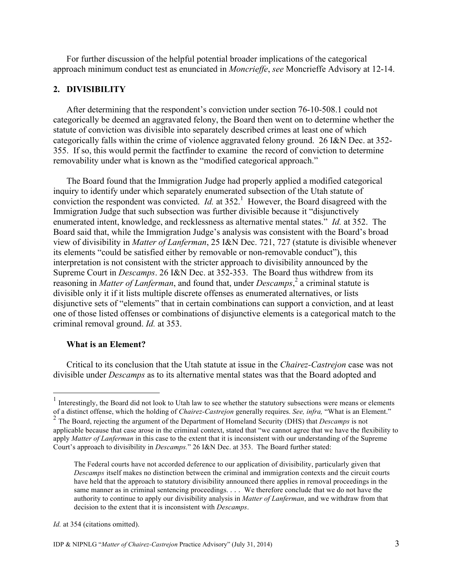For further discussion of the helpful potential broader implications of the categorical approach minimum conduct test as enunciated in *Moncrieffe*, *see* Moncrieffe Advisory at 12-14.

## **2. DIVISIBILITY**

After determining that the respondent's conviction under section 76-10-508.1 could not categorically be deemed an aggravated felony, the Board then went on to determine whether the statute of conviction was divisible into separately described crimes at least one of which categorically falls within the crime of violence aggravated felony ground. 26 I&N Dec. at 352- 355. If so, this would permit the factfinder to examine the record of conviction to determine removability under what is known as the "modified categorical approach."

The Board found that the Immigration Judge had properly applied a modified categorical inquiry to identify under which separately enumerated subsection of the Utah statute of conviction the respondent was convicted. *Id.* at  $352<sup>1</sup>$  However, the Board disagreed with the Immigration Judge that such subsection was further divisible because it "disjunctively enumerated intent, knowledge, and recklessness as alternative mental states." *Id.* at 352. The Board said that, while the Immigration Judge's analysis was consistent with the Board's broad view of divisibility in *Matter of Lanferman*, 25 I&N Dec. 721, 727 (statute is divisible whenever its elements "could be satisfied either by removable or non-removable conduct"), this interpretation is not consistent with the stricter approach to divisibility announced by the Supreme Court in *Descamps*. 26 I&N Dec. at 352-353. The Board thus withdrew from its reasoning in *Matter of Lanferman*, and found that, under *Descamps*, <sup>2</sup> a criminal statute is divisible only it if it lists multiple discrete offenses as enumerated alternatives, or lists disjunctive sets of "elements" that in certain combinations can support a conviction, and at least one of those listed offenses or combinations of disjunctive elements is a categorical match to the criminal removal ground. *Id.* at 353.

#### **What is an Element?**

Critical to its conclusion that the Utah statute at issue in the *Chairez-Castrejon* case was not divisible under *Descamps* as to its alternative mental states was that the Board adopted and

*Id.* at 354 (citations omitted).

 <sup>1</sup> Interestingly, the Board did not look to Utah law to see whether the statutory subsections were means or elements of a distinct offense, which the holding of *Chairez-Castrejon* generally requires. *See, infra,* "What is an Element."

<sup>2</sup> The Board, rejecting the argument of the Department of Homeland Security (DHS) that *Descamps* is not applicable because that case arose in the criminal context, stated that "we cannot agree that we have the flexibility to apply *Matter of Lanferman* in this case to the extent that it is inconsistent with our understanding of the Supreme Court's approach to divisibility in *Descamps.*" 26 I&N Dec. at 353. The Board further stated:

The Federal courts have not accorded deference to our application of divisibility, particularly given that *Descamps* itself makes no distinction between the criminal and immigration contexts and the circuit courts have held that the approach to statutory divisibility announced there applies in removal proceedings in the same manner as in criminal sentencing proceedings. *. . .* We therefore conclude that we do not have the authority to continue to apply our divisibility analysis in *Matter of Lanferman*, and we withdraw from that decision to the extent that it is inconsistent with *Descamps*.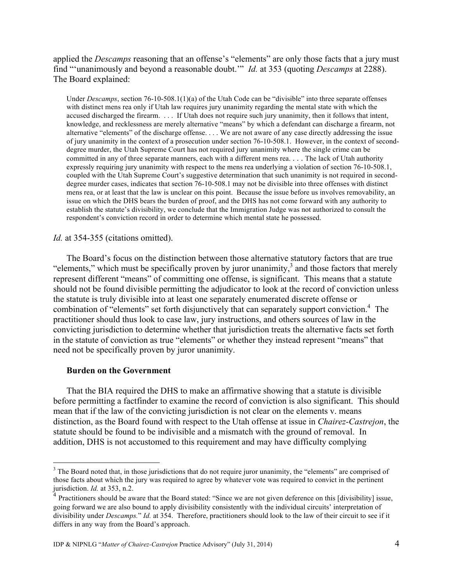applied the *Descamps* reasoning that an offense's "elements" are only those facts that a jury must find "'unanimously and beyond a reasonable doubt.'" *Id.* at 353 (quoting *Descamps* at 2288). The Board explained:

Under *Descamps*, section 76-10-508.1(1)(a) of the Utah Code can be "divisible" into three separate offenses with distinct mens rea only if Utah law requires jury unanimity regarding the mental state with which the accused discharged the firearm. . . . If Utah does not require such jury unanimity, then it follows that intent, knowledge, and recklessness are merely alternative "means" by which a defendant can discharge a firearm, not alternative "elements" of the discharge offense. . . . We are not aware of any case directly addressing the issue of jury unanimity in the context of a prosecution under section 76-10-508.1. However, in the context of seconddegree murder, the Utah Supreme Court has not required jury unanimity where the single crime can be committed in any of three separate manners, each with a different mens rea. *. . .* The lack of Utah authority expressly requiring jury unanimity with respect to the mens rea underlying a violation of section 76-10-508.1, coupled with the Utah Supreme Court's suggestive determination that such unanimity is not required in seconddegree murder cases, indicates that section 76-10-508.1 may not be divisible into three offenses with distinct mens rea, or at least that the law is unclear on this point. Because the issue before us involves removability, an issue on which the DHS bears the burden of proof, and the DHS has not come forward with any authority to establish the statute's divisibility, we conclude that the Immigration Judge was not authorized to consult the respondent's conviction record in order to determine which mental state he possessed.

*Id.* at 354-355 (citations omitted).

The Board's focus on the distinction between those alternative statutory factors that are true "elements," which must be specifically proven by juror unanimity, $\frac{3}{2}$  and those factors that merely represent different "means" of committing one offense, is significant. This means that a statute should not be found divisible permitting the adjudicator to look at the record of conviction unless the statute is truly divisible into at least one separately enumerated discrete offense or combination of "elements" set forth disjunctively that can separately support conviction.<sup>4</sup> The practitioner should thus look to case law, jury instructions, and others sources of law in the convicting jurisdiction to determine whether that jurisdiction treats the alternative facts set forth in the statute of conviction as true "elements" or whether they instead represent "means" that need not be specifically proven by juror unanimity.

#### **Burden on the Government**

That the BIA required the DHS to make an affirmative showing that a statute is divisible before permitting a factfinder to examine the record of conviction is also significant. This should mean that if the law of the convicting jurisdiction is not clear on the elements v. means distinction, as the Board found with respect to the Utah offense at issue in *Chairez-Castrejon*, the statute should be found to be indivisible and a mismatch with the ground of removal. In addition, DHS is not accustomed to this requirement and may have difficulty complying

<sup>&</sup>lt;sup>3</sup> The Board noted that, in those jurisdictions that do not require juror unanimity, the "elements" are comprised of those facts about which the jury was required to agree by whatever vote was required to convict in the pertinent jurisdiction. *Id.* at 353, n.2.

<sup>4</sup> Practitioners should be aware that the Board stated: "Since we are not given deference on this [divisibility] issue, going forward we are also bound to apply divisibility consistently with the individual circuits' interpretation of divisibility under *Descamps.*" *Id.* at 354. Therefore, practitioners should look to the law of their circuit to see if it differs in any way from the Board's approach.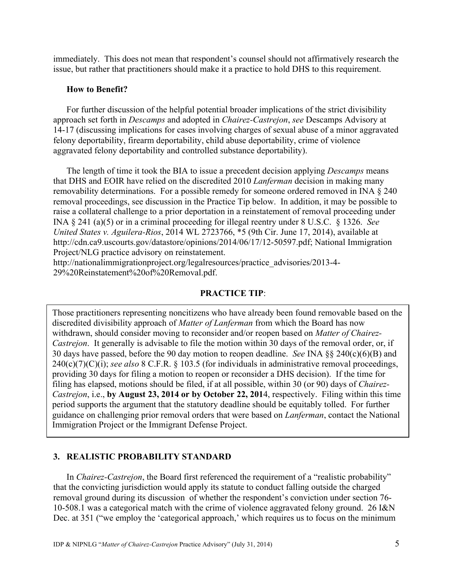immediately. This does not mean that respondent's counsel should not affirmatively research the issue, but rather that practitioners should make it a practice to hold DHS to this requirement.

### **How to Benefit?**

For further discussion of the helpful potential broader implications of the strict divisibility approach set forth in *Descamps* and adopted in *Chairez-Castrejon*, *see* Descamps Advisory at 14-17 (discussing implications for cases involving charges of sexual abuse of a minor aggravated felony deportability, firearm deportability, child abuse deportability, crime of violence aggravated felony deportability and controlled substance deportability).

The length of time it took the BIA to issue a precedent decision applying *Descamps* means that DHS and EOIR have relied on the discredited 2010 *Lanferman* decision in making many removability determinations. For a possible remedy for someone ordered removed in INA § 240 removal proceedings, see discussion in the Practice Tip below. In addition, it may be possible to raise a collateral challenge to a prior deportation in a reinstatement of removal proceeding under INA § 241 (a)(5) or in a criminal proceeding for illegal reentry under 8 U.S.C. § 1326. *See United States v. Aguilera-Rios*, 2014 WL 2723766, \*5 (9th Cir. June 17, 2014), available at http://cdn.ca9.uscourts.gov/datastore/opinions/2014/06/17/12-50597.pdf; National Immigration Project/NLG practice advisory on reinstatement.

http://nationalimmigrationproject.org/legalresources/practice\_advisories/2013-4- 29%20Reinstatement%20of%20Removal.pdf.

## **PRACTICE TIP**:

Those practitioners representing noncitizens who have already been found removable based on the discredited divisibility approach of *Matter of Lanferman* from which the Board has now withdrawn, should consider moving to reconsider and/or reopen based on *Matter of Chairez-Castrejon*. It generally is advisable to file the motion within 30 days of the removal order, or, if 30 days have passed, before the 90 day motion to reopen deadline. *See* INA §§ 240(c)(6)(B) and 240(c)(7)(C)(i); *see also* 8 C.F.R. § 103.5 (for individuals in administrative removal proceedings, providing 30 days for filing a motion to reopen or reconsider a DHS decision). If the time for filing has elapsed, motions should be filed, if at all possible, within 30 (or 90) days of *Chairez-Castrejon*, i.e., **by August 23, 2014 or by October 22, 201**4, respectively. Filing within this time period supports the argument that the statutory deadline should be equitably tolled. For further guidance on challenging prior removal orders that were based on *Lanferman*, contact the National Immigration Project or the Immigrant Defense Project.

## **3. REALISTIC PROBABILITY STANDARD**

In *Chairez-Castrejon*, the Board first referenced the requirement of a "realistic probability" that the convicting jurisdiction would apply its statute to conduct falling outside the charged removal ground during its discussion of whether the respondent's conviction under section 76- 10-508.1 was a categorical match with the crime of violence aggravated felony ground. 26 I&N Dec. at 351 ("we employ the 'categorical approach,' which requires us to focus on the minimum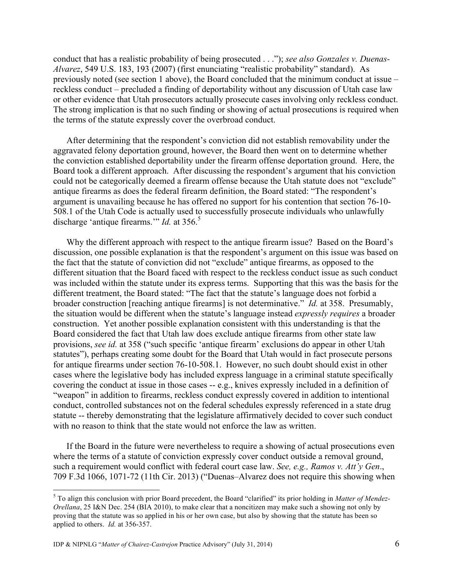conduct that has a realistic probability of being prosecuted . . ."); *see also Gonzales v. Duenas-Alvarez*, 549 U.S. 183, 193 (2007) (first enunciating "realistic probability" standard). As previously noted (see section 1 above), the Board concluded that the minimum conduct at issue – reckless conduct – precluded a finding of deportability without any discussion of Utah case law or other evidence that Utah prosecutors actually prosecute cases involving only reckless conduct. The strong implication is that no such finding or showing of actual prosecutions is required when the terms of the statute expressly cover the overbroad conduct.

After determining that the respondent's conviction did not establish removability under the aggravated felony deportation ground, however, the Board then went on to determine whether the conviction established deportability under the firearm offense deportation ground. Here, the Board took a different approach. After discussing the respondent's argument that his conviction could not be categorically deemed a firearm offense because the Utah statute does not "exclude" antique firearms as does the federal firearm definition, the Board stated: "The respondent's argument is unavailing because he has offered no support for his contention that section 76-10- 508.1 of the Utah Code is actually used to successfully prosecute individuals who unlawfully discharge 'antique firearms.'" *Id.* at 356.<sup>5</sup>

Why the different approach with respect to the antique firearm issue? Based on the Board's discussion, one possible explanation is that the respondent's argument on this issue was based on the fact that the statute of conviction did not "exclude" antique firearms, as opposed to the different situation that the Board faced with respect to the reckless conduct issue as such conduct was included within the statute under its express terms. Supporting that this was the basis for the different treatment, the Board stated: "The fact that the statute's language does not forbid a broader construction [reaching antique firearms] is not determinative." *Id.* at 358. Presumably, the situation would be different when the statute's language instead *expressly requires* a broader construction. Yet another possible explanation consistent with this understanding is that the Board considered the fact that Utah law does exclude antique firearms from other state law provisions, *see id.* at 358 ("such specific 'antique firearm' exclusions do appear in other Utah statutes"), perhaps creating some doubt for the Board that Utah would in fact prosecute persons for antique firearms under section 76-10-508.1. However, no such doubt should exist in other cases where the legislative body has included express language in a criminal statute specifically covering the conduct at issue in those cases -- e.g., knives expressly included in a definition of "weapon" in addition to firearms, reckless conduct expressly covered in addition to intentional conduct, controlled substances not on the federal schedules expressly referenced in a state drug statute -- thereby demonstrating that the legislature affirmatively decided to cover such conduct with no reason to think that the state would not enforce the law as written.

If the Board in the future were nevertheless to require a showing of actual prosecutions even where the terms of a statute of conviction expressly cover conduct outside a removal ground, such a requirement would conflict with federal court case law. *See, e.g., Ramos v. Att'y Gen*., 709 F.3d 1066, 1071-72 (11th Cir. 2013) ("Duenas–Alvarez does not require this showing when

 <sup>5</sup> To align this conclusion with prior Board precedent, the Board "clarified" its prior holding in *Matter of Mendez-Orellana*, 25 I&N Dec. 254 (BIA 2010), to make clear that a noncitizen may make such a showing not only by proving that the statute was so applied in his or her own case, but also by showing that the statute has been so applied to others. *Id.* at 356-357.